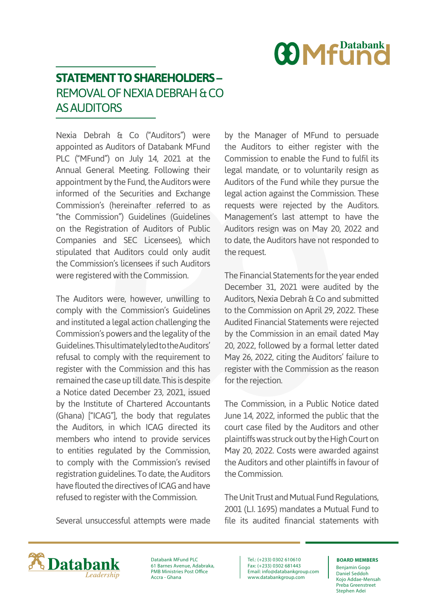

## **STATEMENT TO SHAREHOLDERS –** REMOVAL OF NEXIA DEBRAH & CO AS AUDITORS

Nexia Debrah & Co ("Auditors") were appointed as Auditors of Databank MFund PLC ("MFund") on July 14, 2021 at the Annual General Meeting. Following their appointment by the Fund, the Auditors were informed of the Securities and Exchange Commission's (hereinafter referred to as "the Commission") Guidelines (Guidelines on the Registration of Auditors of Public Companies and SEC Licensees), which stipulated that Auditors could only audit the Commission's licensees if such Auditors were registered with the Commission.

The Auditors were, however, unwilling to comply with the Commission's Guidelines and instituted a legal action challenging the Commission's powers and the legality of the Guidelines. This ultimately led to the Auditors' refusal to comply with the requirement to register with the Commission and this has remained the case up till date. This is despite a Notice dated December 23, 2021, issued by the Institute of Chartered Accountants (Ghana) ["ICAG"], the body that regulates the Auditors, in which ICAG directed its members who intend to provide services to entities regulated by the Commission, to comply with the Commission's revised registration guidelines. To date, the Auditors have flouted the directives of ICAG and have refused to register with the Commission.

Several unsuccessful attempts were made

by the Manager of MFund to persuade the Auditors to either register with the Commission to enable the Fund to fulfil its legal mandate, or to voluntarily resign as Auditors of the Fund while they pursue the legal action against the Commission. These requests were rejected by the Auditors. Management's last attempt to have the Auditors resign was on May 20, 2022 and to date, the Auditors have not responded to the request.

The Financial Statements for the year ended December 31, 2021 were audited by the Auditors, Nexia Debrah & Co and submitted to the Commission on April 29, 2022. These Audited Financial Statements were rejected by the Commission in an email dated May 20, 2022, followed by a formal letter dated May 26, 2022, citing the Auditors' failure to register with the Commission as the reason for the rejection.

The Commission, in a Public Notice dated June 14, 2022, informed the public that the court case filed by the Auditors and other plaintiffs was struck out by the High Court on May 20, 2022. Costs were awarded against the Auditors and other plaintiffs in favour of the Commission.

The Unit Trust and Mutual Fund Regulations, 2001 (L.I. 1695) mandates a Mutual Fund to file its audited financial statements with



Databank MFund PLC 61 Barnes Avenue, Adabraka, PMB Ministries Post Office Accra - Ghana

Tel.: (+233) 0302 610610 Fax: (+233) 0302 681443 Email: info@databankgroup.com www.databankgroup.com

## **BOARD MEMBERS**

Benjamin Gogo Daniel Seddoh Kojo Addae-Mensah Preba Greenstreet Stephen Adei